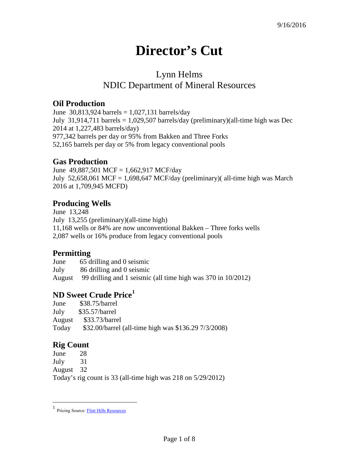# **Director's Cut**

## Lynn Helms NDIC Department of Mineral Resources

#### **Oil Production**

June 30,813,924 barrels =  $1,027,131$  barrels/day July 31,914,711 barrels = 1,029,507 barrels/day (preliminary)(all-time high was Dec 2014 at 1,227,483 barrels/day) 977,342 barrels per day or 95% from Bakken and Three Forks 52,165 barrels per day or 5% from legacy conventional pools

#### **Gas Production**

June 49,887,501 MCF = 1,662,917 MCF/day July 52,658,061 MCF = 1,698,647 MCF/day (preliminary)( all-time high was March 2016 at 1,709,945 MCFD)

#### **Producing Wells**

June 13,248 July 13,255 (preliminary)(all-time high) 11,168 wells or 84% are now unconventional Bakken – Three forks wells 2,087 wells or 16% produce from legacy conventional pools

#### **Permitting**

June 65 drilling and 0 seismic July 86 drilling and 0 seismic August 99 drilling and 1 seismic (all time high was 370 in 10/2012)

#### **ND Sweet Crude Price[1](#page-0-0)**

| June   | $$38.75/b$ arrel                                     |
|--------|------------------------------------------------------|
| July   | $$35.57/b$ arrel                                     |
| August | \$33.73/barrel                                       |
| Today  | \$32.00/barrel (all-time high was \$136.29 7/3/2008) |

### **Rig Count**

 $\overline{a}$ 

June 28 July 31 August 32 Today's rig count is 33 (all-time high was 218 on 5/29/2012)

<span id="page-0-0"></span><sup>1</sup> Pricing Source[: Flint Hills Resources](http://www.fhr.com/refining/bulletins.aspx?AspxAutoDetectCookieSupport=1)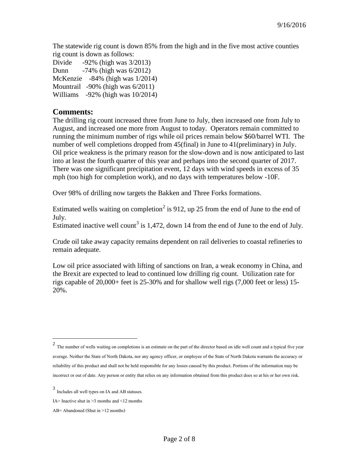The statewide rig count is down 85% from the high and in the five most active counties rig count is down as follows:

Divide -92% (high was 3/2013) Dunn -74% (high was 6/2012) McKenzie -84% (high was 1/2014) Mountrail -90% (high was 6/2011) Williams -92% (high was 10/2014)

#### **Comments:**

The drilling rig count increased three from June to July, then increased one from July to August, and increased one more from August to today. Operators remain committed to running the minimum number of rigs while oil prices remain below \$60/barrel WTI. The number of well completions dropped from 45(final) in June to 41(preliminary) in July. Oil price weakness is the primary reason for the slow-down and is now anticipated to last into at least the fourth quarter of this year and perhaps into the second quarter of 2017. There was one significant precipitation event, 12 days with wind speeds in excess of 35 mph (too high for completion work), and no days with temperatures below -10F.

Over 98% of drilling now targets the Bakken and Three Forks formations.

Estimated wells waiting on completion<sup>[2](#page-1-0)</sup> is 912, up 25 from the end of June to the end of July.

Estimated inactive well count<sup>[3](#page-1-1)</sup> is 1,472, down 14 from the end of June to the end of July.

Crude oil take away capacity remains dependent on rail deliveries to coastal refineries to remain adequate.

Low oil price associated with lifting of sanctions on Iran, a weak economy in China, and the Brexit are expected to lead to continued low drilling rig count. Utilization rate for rigs capable of 20,000+ feet is 25-30% and for shallow well rigs (7,000 feet or less) 15- 20%.

 $\overline{a}$ 

<span id="page-1-0"></span> $2$  The number of wells waiting on completions is an estimate on the part of the director based on idle well count and a typical five year average. Neither the State of North Dakota, nor any agency officer, or employee of the State of North Dakota warrants the accuracy or reliability of this product and shall not be held responsible for any losses caused by this product. Portions of the information may be incorrect or out of date. Any person or entity that relies on any information obtained from this product does so at his or her own risk.

<span id="page-1-1"></span><sup>3</sup> Includes all well types on IA and AB statuses.

IA= Inactive shut in  $\geq$ 3 months and  $\leq$ 12 months

AB= Abandoned (Shut in >12 months)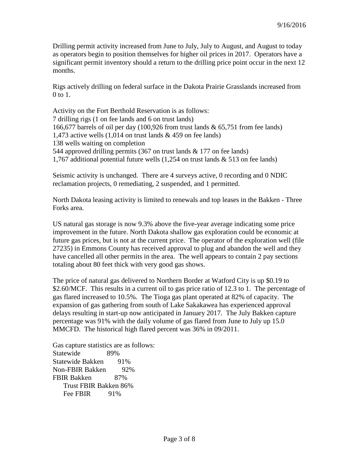Drilling permit activity increased from June to July, July to August, and August to today as operators begin to position themselves for higher oil prices in 2017. Operators have a significant permit inventory should a return to the drilling price point occur in the next 12 months.

Rigs actively drilling on federal surface in the Dakota Prairie Grasslands increased from 0 to 1.

Activity on the Fort Berthold Reservation is as follows: 7 drilling rigs (1 on fee lands and 6 on trust lands) 166,677 barrels of oil per day (100,926 from trust lands & 65,751 from fee lands) 1,473 active wells  $(1,014$  on trust lands & 459 on fee lands) 138 wells waiting on completion 544 approved drilling permits (367 on trust lands & 177 on fee lands) 1,767 additional potential future wells (1,254 on trust lands & 513 on fee lands)

Seismic activity is unchanged. There are 4 surveys active, 0 recording and 0 NDIC reclamation projects, 0 remediating, 2 suspended, and 1 permitted.

North Dakota leasing activity is limited to renewals and top leases in the Bakken - Three Forks area.

US natural gas storage is now 9.3% above the five-year average indicating some price improvement in the future. North Dakota shallow gas exploration could be economic at future gas prices, but is not at the current price. The operator of the exploration well (file 27235) in Emmons County has received approval to plug and abandon the well and they have cancelled all other permits in the area. The well appears to contain 2 pay sections totaling about 80 feet thick with very good gas shows.

The price of natural gas delivered to Northern Border at Watford City is up \$0.19 to \$2.60/MCF. This results in a current oil to gas price ratio of 12.3 to 1. The percentage of gas flared increased to 10.5%. The Tioga gas plant operated at 82% of capacity. The expansion of gas gathering from south of Lake Sakakawea has experienced approval delays resulting in start-up now anticipated in January 2017. The July Bakken capture percentage was 91% with the daily volume of gas flared from June to July up 15.0 MMCFD. The historical high flared percent was 36% in 09/2011.

Gas capture statistics are as follows: Statewide 89% Statewide Bakken 91% Non-FBIR Bakken 92% FBIR Bakken 87% Trust FBIR Bakken 86% Fee FBIR 91%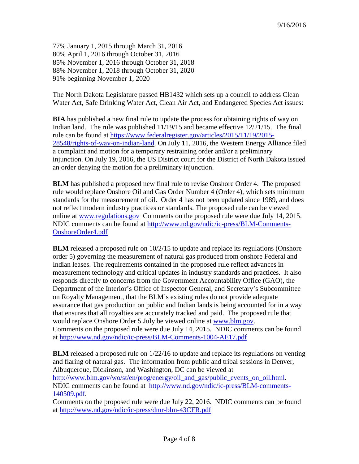77% January 1, 2015 through March 31, 2016 80% April 1, 2016 through October 31, 2016 85% November 1, 2016 through October 31, 2018 88% November 1, 2018 through October 31, 2020 91% beginning November 1, 2020

The North Dakota Legislature passed HB1432 which sets up a council to address Clean Water Act, Safe Drinking Water Act, Clean Air Act, and Endangered Species Act issues:

**BIA** has published a new final rule to update the process for obtaining rights of way on Indian land. The rule was published 11/19/15 and became effective 12/21/15. The final rule can be found at [https://www.federalregister.gov/articles/2015/11/19/2015-](https://www.federalregister.gov/articles/2015/11/19/2015-28548/rights-of-way-on-indian-land) [28548/rights-of-way-on-indian-land.](https://www.federalregister.gov/articles/2015/11/19/2015-28548/rights-of-way-on-indian-land) On July 11, 2016, the Western Energy Alliance filed a complaint and motion for a temporary restraining order and/or a preliminary injunction. On July 19, 2016, the US District court for the District of North Dakota issued an order denying the motion for a preliminary injunction.

**BLM** has published a proposed new final rule to revise Onshore Order 4. The proposed rule would replace Onshore Oil and Gas Order Number 4 (Order 4), which sets minimum standards for the measurement of oil. Order 4 has not been updated since 1989, and does not reflect modern industry practices or standards. The proposed rule can be viewed online at [www.regulations.gov](http://www.regulations.gov/) Comments on the proposed rule were due July 14, 2015. NDIC comments can be found at [http://www.nd.gov/ndic/ic-press/BLM-Comments-](http://www.nd.gov/ndic/ic-press/BLM-Comments-OnshoreOrder4.pdf)[OnshoreOrder4.pdf](http://www.nd.gov/ndic/ic-press/BLM-Comments-OnshoreOrder4.pdf)

**BLM** released a proposed rule on  $10/2/15$  to update and replace its regulations (Onshore order 5) governing the measurement of natural gas produced from onshore Federal and Indian leases. The requirements contained in the proposed rule reflect advances in measurement technology and critical updates in industry standards and practices. It also responds directly to concerns from the Government Accountability Office (GAO), the Department of the Interior's Office of Inspector General, and Secretary's Subcommittee on Royalty Management, that the BLM's existing rules do not provide adequate assurance that gas production on public and Indian lands is being accounted for in a way that ensures that all royalties are accurately tracked and paid. The proposed rule that would replace Onshore Order 5 July be viewed online at [www.blm.gov.](http://www.blm.gov/) Comments on the proposed rule were due July 14, 2015. NDIC comments can be found at<http://www.nd.gov/ndic/ic-press/BLM-Comments-1004-AE17.pdf>

**BLM** released a proposed rule on  $1/22/16$  to update and replace its regulations on venting and flaring of natural gas. The information from public and tribal sessions in Denver, Albuquerque, Dickinson, and Washington, DC can be viewed at [http://www.blm.gov/wo/st/en/prog/energy/oil\\_and\\_gas/public\\_events\\_on\\_oil.html.](http://www.blm.gov/wo/st/en/prog/energy/oil_and_gas/public_events_on_oil.html) NDIC comments can be found at [http://www.nd.gov/ndic/ic-press/BLM-comments-](http://www.nd.gov/ndic/ic-press/BLM-comments-140509.pdf)[140509.pdf.](http://www.nd.gov/ndic/ic-press/BLM-comments-140509.pdf)

Comments on the proposed rule were due July 22, 2016. NDIC comments can be found at<http://www.nd.gov/ndic/ic-press/dmr-blm-43CFR.pdf>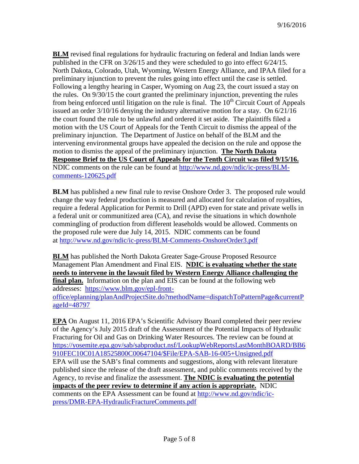**BLM** revised final regulations for hydraulic fracturing on federal and Indian lands were published in the CFR on 3/26/15 and they were scheduled to go into effect 6/24/15. North Dakota, Colorado, Utah, Wyoming, Western Energy Alliance, and IPAA filed for a preliminary injunction to prevent the rules going into effect until the case is settled. Following a lengthy hearing in Casper, Wyoming on Aug 23, the court issued a stay on the rules. On 9/30/15 the court granted the preliminary injunction, preventing the rules from being enforced until litigation on the rule is final. The  $10<sup>th</sup>$  Circuit Court of Appeals issued an order  $3/10/16$  denying the industry alternative motion for a stay. On  $6/21/16$ the court found the rule to be unlawful and ordered it set aside. The plaintiffs filed a motion with the US Court of Appeals for the Tenth Circuit to dismiss the appeal of the preliminary injunction. The Department of Justice on behalf of the BLM and the intervening environmental groups have appealed the decision on the rule and oppose the motion to dismiss the appeal of the preliminary injunction. **The North Dakota Response Brief to the US Court of Appeals for the Tenth Circuit was filed 9/15/16.** NDIC comments on the rule can be found at [http://www.nd.gov/ndic/ic-press/BLM](http://www.nd.gov/ndic/ic-press/BLM-comments-120625.pdf)[comments-120625.pdf](http://www.nd.gov/ndic/ic-press/BLM-comments-120625.pdf)

**BLM** has published a new final rule to revise Onshore Order 3. The proposed rule would change the way federal production is measured and allocated for calculation of royalties, require a federal Application for Permit to Drill (APD) even for state and private wells in a federal unit or communitized area (CA), and revise the situations in which downhole commingling of production from different leaseholds would be allowed. Comments on the proposed rule were due July 14, 2015. NDIC comments can be found at <http://www.nd.gov/ndic/ic-press/BLM-Comments-OnshoreOrder3.pdf>

**BLM** has published the North Dakota Greater Sage-Grouse Proposed Resource Management Plan Amendment and Final EIS. **NDIC is evaluating whether the state needs to intervene in the lawsuit filed by Western Energy Alliance challenging the final plan.** Information on the plan and EIS can be found at the following web addresses: [https://www.blm.gov/epl-front](https://www.blm.gov/epl-front-office/eplanning/planAndProjectSite.do?methodName=dispatchToPatternPage¤tPageId=48797)[office/eplanning/planAndProjectSite.do?methodName=dispatchToPatternPage&currentP](https://www.blm.gov/epl-front-office/eplanning/planAndProjectSite.do?methodName=dispatchToPatternPage¤tPageId=48797) [ageId=48797](https://www.blm.gov/epl-front-office/eplanning/planAndProjectSite.do?methodName=dispatchToPatternPage¤tPageId=48797)

**EPA** On August 11, 2016 EPA's Scientific Advisory Board completed their peer review of the Agency's July 2015 draft of the Assessment of the Potential Impacts of Hydraulic Fracturing for Oil and Gas on Drinking Water Resources. The review can be found at [https://yosemite.epa.gov/sab/sabproduct.nsf/LookupWebReportsLastMonthBOARD/BB6](https://yosemite.epa.gov/sab/sabproduct.nsf/LookupWebReportsLastMonthBOARD/BB6910FEC10C01A18525800C00647104/$File/EPA-SAB-16-005+Unsigned.pdf) [910FEC10C01A18525800C00647104/\\$File/EPA-SAB-16-005+Unsigned.pdf](https://yosemite.epa.gov/sab/sabproduct.nsf/LookupWebReportsLastMonthBOARD/BB6910FEC10C01A18525800C00647104/$File/EPA-SAB-16-005+Unsigned.pdf) EPA will use the SAB's final comments and suggestions, along with relevant literature published since the release of the draft assessment, and public comments received by the Agency, to revise and finalize the assessment. **The NDIC is evaluating the potential impacts of the peer review to determine if any action is appropriate.** NDIC comments on the EPA Assessment can be found at [http://www.nd.gov/ndic/ic](http://www.nd.gov/ndic/ic-press/DMR-EPA-HydraulicFractureComments.pdf)[press/DMR-EPA-HydraulicFractureComments.pdf](http://www.nd.gov/ndic/ic-press/DMR-EPA-HydraulicFractureComments.pdf)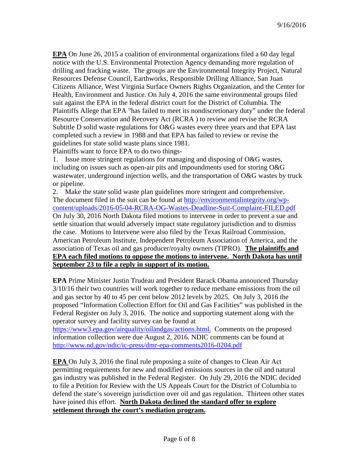**EPA** On June 26, 2015 a coalition of environmental organizations filed a 60 day legal notice with the U.S. Environmental Protection Agency demanding more regulation of drilling and fracking waste. The groups are the Environmental Integrity Project, Natural Resources Defense Council, Earthworks, Responsible Drilling Alliance, San Juan Citizens Alliance, West Virginia Surface Owners Rights Organization, and the Center for Health, Environment and Justice. On July 4, 2016 the same environmental groups filed suit against the EPA in the federal district court for the District of Columbia. The Plaintiffs Allege that EPA "has failed to meet its nondiscretionary duty" under the federal Resource Conservation and Recovery Act (RCRA ) to review and revise the RCRA Subtitle D solid waste regulations for O&G wastes every three years and that EPA last completed such a review in 1988 and that EPA has failed to review or revise the guidelines for state solid waste plans since 1981.

Plaintiffs want to force EPA to do two things-

1. Issue more stringent regulations for managing and disposing of O&G wastes, including on issues such as open-air pits and impoundments used for storing O&G wastewater, underground injection wells, and the transportation of O&G wastes by truck or pipeline.

2. Make the state solid waste plan guidelines more stringent and comprehensive. The document filed in the suit can be found at [http://environmentalintegrity.org/wp](http://environmentalintegrity.org/wp-content/uploads/2016-05-04-RCRA-OG-Wastes-Deadline-Suit-Complaint-FILED.pdf)[content/uploads/2016-05-04-RCRA-OG-Wastes-Deadline-Suit-Complaint-FILED.pdf](http://environmentalintegrity.org/wp-content/uploads/2016-05-04-RCRA-OG-Wastes-Deadline-Suit-Complaint-FILED.pdf) On July 30, 2016 North Dakota filed motions to intervene in order to prevent a sue and settle situation that would adversely impact state regulatory jurisdiction and to dismiss the case. Motions to Intervene were also filed by the Texas Railroad Commission, American Petroleum Institute, Independent Petroleum Association of America, and the association of Texas oil and gas producer/royalty owners (TIPRO). **The plaintiffs and EPA each filed motions to oppose the motions to intervene. North Dakota has until September 23 to file a reply in support of its motion.**

**EPA** Prime Minister Justin Trudeau and President Barack Obama announced Thursday 3/10/16 their two countries will work together to reduce methane emissions from the oil and gas sector by 40 to 45 per cent below 2012 levels by 2025. On July 3, 2016 the proposed "Information Collection Effort for Oil and Gas Facilities" was published in the Federal Register on July 3, 2016. The notice and supporting statement along with the operator survey and facility survey can be found at

[https://www3.epa.gov/airquality/oilandgas/actions.html.](https://www3.epa.gov/airquality/oilandgas/actions.html) Comments on the proposed information collection were due August 2, 2016. NDIC comments can be found at <http://www.nd.gov/ndic/ic-press/dmr-epa-comments2016-0204.pdf>

**EPA** On July 3, 2016 the final rule proposing a suite of changes to Clean Air Act permitting requirements for new and modified emissions sources in the oil and natural gas industry was published in the Federal Register. On July 29, 2016 the NDIC decided to file a Petition for Review with the US Appeals Court for the District of Columbia to defend the state's sovereign jurisdiction over oil and gas regulation. Thirteen other states have joined this effort. **North Dakota declined the standard offer to explore settlement through the court's mediation program.**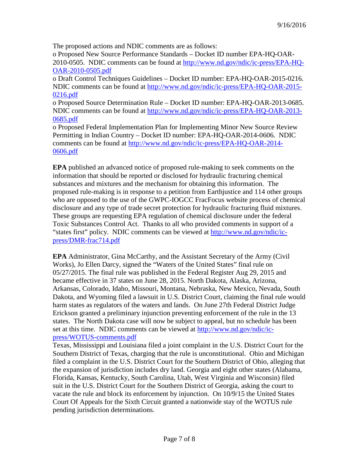The proposed actions and NDIC comments are as follows:

o Proposed New Source Performance Standards – Docket ID number EPA-HQ-OAR-2010-0505. NDIC comments can be found at [http://www.nd.gov/ndic/ic-press/EPA-HQ-](http://www.nd.gov/ndic/ic-press/EPA-HQ-OAR-2010-0505.pdf)[OAR-2010-0505.pdf](http://www.nd.gov/ndic/ic-press/EPA-HQ-OAR-2010-0505.pdf)

o Draft Control Techniques Guidelines – Docket ID number: EPA-HQ-OAR-2015-0216. NDIC comments can be found at [http://www.nd.gov/ndic/ic-press/EPA-HQ-OAR-2015-](http://www.nd.gov/ndic/ic-press/EPA-HQ-OAR-2015-0216.pdf) [0216.pdf](http://www.nd.gov/ndic/ic-press/EPA-HQ-OAR-2015-0216.pdf)

o Proposed Source Determination Rule – Docket ID number: EPA-HQ-OAR-2013-0685. NDIC comments can be found at [http://www.nd.gov/ndic/ic-press/EPA-HQ-OAR-2013-](http://www.nd.gov/ndic/ic-press/EPA-HQ-OAR-2013-0685.pdf) [0685.pdf](http://www.nd.gov/ndic/ic-press/EPA-HQ-OAR-2013-0685.pdf)

o Proposed Federal Implementation Plan for Implementing Minor New Source Review Permitting in Indian Country – Docket ID number: EPA-HQ-OAR-2014-0606. NDIC comments can be found at [http://www.nd.gov/ndic/ic-press/EPA-HQ-OAR-2014-](http://www.nd.gov/ndic/ic-press/EPA-HQ-OAR-2014-0606.pdf) [0606.pdf](http://www.nd.gov/ndic/ic-press/EPA-HQ-OAR-2014-0606.pdf)

**EPA** published an advanced notice of proposed rule-making to seek comments on the information that should be reported or disclosed for hydraulic fracturing chemical substances and mixtures and the mechanism for obtaining this information. The proposed rule-making is in response to a petition from Earthjustice and 114 other groups who are opposed to the use of the GWPC-IOGCC FracFocus website process of chemical disclosure and any type of trade secret protection for hydraulic fracturing fluid mixtures. These groups are requesting EPA regulation of chemical disclosure under the federal Toxic Substances Control Act. Thanks to all who provided comments in support of a "states first" policy. NDIC comments can be viewed at [http://www.nd.gov/ndic/ic](http://www.nd.gov/ndic/ic-press/DMR-frac714.pdf)[press/DMR-frac714.pdf](http://www.nd.gov/ndic/ic-press/DMR-frac714.pdf)

**EPA** Administrator, Gina McCarthy, and the Assistant Secretary of the Army (Civil Works), Jo Ellen Darcy, signed the "Waters of the United States" final rule on 05/27/2015. The final rule was published in the Federal Register Aug 29, 2015 and became effective in 37 states on June 28, 2015. North Dakota, Alaska, Arizona, Arkansas, Colorado, Idaho, Missouri, Montana, Nebraska, New Mexico, Nevada, South Dakota, and Wyoming filed a lawsuit in U.S. District Court, claiming the final rule would harm states as regulators of the waters and lands. On June 27th Federal District Judge Erickson granted a preliminary injunction preventing enforcement of the rule in the 13 states. The North Dakota case will now be subject to appeal, but no schedule has been set at this time. NDIC comments can be viewed at [http://www.nd.gov/ndic/ic](http://www.nd.gov/ndic/ic-press/WOTUS-comments.pdf)[press/WOTUS-comments.pdf](http://www.nd.gov/ndic/ic-press/WOTUS-comments.pdf)

Texas, Mississippi and Louisiana filed a joint complaint in the U.S. District Court for the Southern District of Texas, charging that the rule is unconstitutional. Ohio and Michigan filed a complaint in the U.S. District Court for the Southern District of Ohio, alleging that the expansion of jurisdiction includes dry land. Georgia and eight other states (Alabama, Florida, Kansas, Kentucky, South Carolina, Utah, West Virginia and Wisconsin) filed suit in the U.S. District Court for the Southern District of Georgia, asking the court to vacate the rule and block its enforcement by injunction. On 10/9/15 the United States Court Of Appeals for the Sixth Circuit granted a nationwide stay of the WOTUS rule pending jurisdiction determinations.